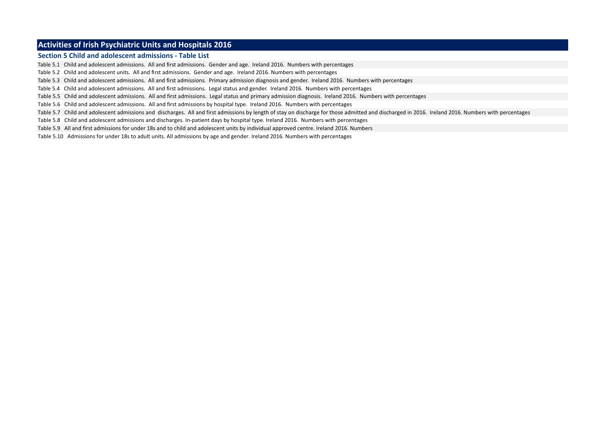#### **Activities of Irish Psychiatric Units and Hospitals 2016**

#### **Section 5 Child and adolescent admissions - Table List**

Table 5.1 Child and adolescent admissions. All and first admissions. Gender and age. Ireland 2016. Numbers with percentages

Table 5.2 Child and adolescent units. All and first admissions. Gender and age. Ireland 2016. Numbers with percentages

Table 5.3 Child and adolescent admissions. All and first admissions. Primary admission diagnosis and gender. Ireland 2016. Numbers with percentages

Table 5.4 Child and adolescent admissions. All and first admissions. Legal status and gender. Ireland 2016. Numbers with percentages

Table 5.5 Child and adolescent admissions. All and first admissions. Legal status and primary admission diagnosis. Ireland 2016. Numbers with percentages

Table 5.6 Child and adolescent admissions. All and first admissions by hospital type. Ireland 2016. Numbers with percentages

Table 5.7 Child and adolescent admissions and discharges. All and first admissions by length of stay on discharge for those admitted and discharged in 2016. Ireland 2016. Numbers with percentages

Table 5.8 Child and adolescent admissions and discharges. In-patient days by hospital type. Ireland 2016. Numbers with percentages

Table 5.9 All and first admissions for under 18s and to child and adolescent units by individual approved centre. Ireland 2016. Numbers

Table 5.10 Admissions for under 18s to adult units. All admissions by age and gender. Ireland 2016. Numbers with percentages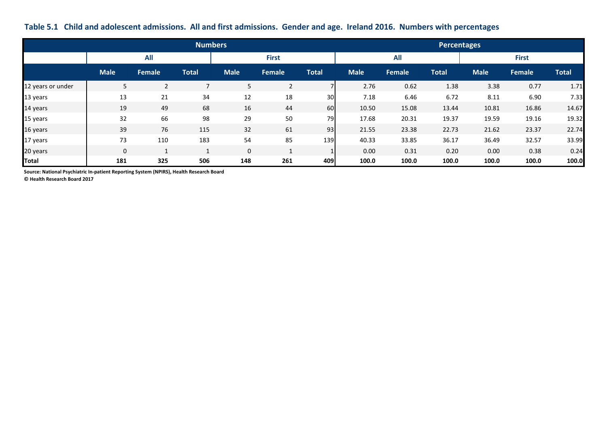|  |  |  |  |  | Table 5.1 Child and adolescent admissions. All and first admissions. Gender and age. Ireland 2016. Numbers with percentages |
|--|--|--|--|--|-----------------------------------------------------------------------------------------------------------------------------|
|--|--|--|--|--|-----------------------------------------------------------------------------------------------------------------------------|

|                   |             |               | <b>Numbers</b>           |             |                      |                 | <b>Percentages</b> |        |              |              |               |              |
|-------------------|-------------|---------------|--------------------------|-------------|----------------------|-----------------|--------------------|--------|--------------|--------------|---------------|--------------|
|                   |             | All           |                          |             | <b>First</b>         |                 | <b>All</b>         |        |              | <b>First</b> |               |              |
|                   | <b>Male</b> | <b>Female</b> | <b>Total</b>             | <b>Male</b> | Female               | <b>Total</b>    | <b>Male</b>        | Female | <b>Total</b> | <b>Male</b>  | <b>Female</b> | <b>Total</b> |
| 12 years or under | 5           | 2             | $\overline{\phantom{0}}$ | 5           | $\overline{2}$       |                 | 2.76               | 0.62   | 1.38         | 3.38         | 0.77          | 1.71         |
| 13 years          | 13          | 21            | 34                       | 12          | 18                   | 30 <sup>l</sup> | 7.18               | 6.46   | 6.72         | 8.11         | 6.90          | 7.33         |
| 14 years          | 19          | 49            | 68                       | 16          | 44                   | 60              | 10.50              | 15.08  | 13.44        | 10.81        | 16.86         | 14.67        |
| 15 years          | 32          | 66            | 98                       | 29          | 50                   | 79              | 17.68              | 20.31  | 19.37        | 19.59        | 19.16         | 19.32        |
| 16 years          | 39          | 76            | 115                      | 32          | 61                   | 93              | 21.55              | 23.38  | 22.73        | 21.62        | 23.37         | 22.74        |
| 17 years          | 73          | 110           | 183                      | 54          | 85                   | 139             | 40.33              | 33.85  | 36.17        | 36.49        | 32.57         | 33.99        |
| 20 years          | $\Omega$    |               | $\mathbf{A}$             | $\mathbf 0$ | $\blacktriangleleft$ | 1               | 0.00               | 0.31   | 0.20         | 0.00         | 0.38          | 0.24         |
| <b>Total</b>      | 181         | 325           | 506                      | 148         | 261                  | 409             | 100.0              | 100.0  | 100.0        | 100.0        | 100.0         | 100.0        |

**Source: National Psychiatric In-patient Reporting System (NPIRS), Health Research Board**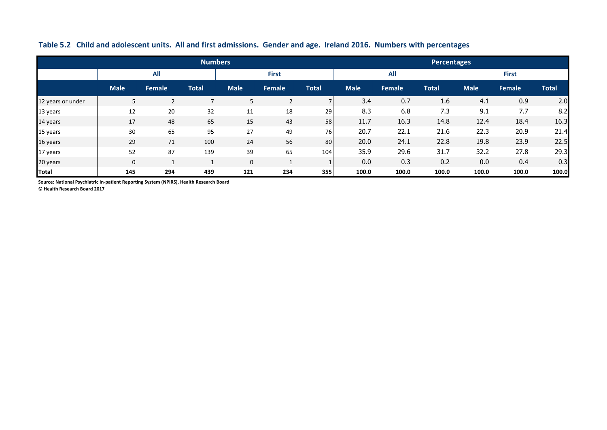|                   |              |                | <b>Numbers</b> |             |              |              | <b>Percentages</b> |            |              |              |        |              |
|-------------------|--------------|----------------|----------------|-------------|--------------|--------------|--------------------|------------|--------------|--------------|--------|--------------|
|                   |              | <b>All</b>     |                |             | <b>First</b> |              |                    | <b>All</b> |              | <b>First</b> |        |              |
|                   | <b>Male</b>  | <b>Female</b>  | <b>Total</b>   | <b>Male</b> | Female       | <b>Total</b> | <b>Male</b>        | Female     | <b>Total</b> | <b>Male</b>  | Female | <b>Total</b> |
| 12 years or under | 5            | $\overline{2}$ | -              | 5           | 2            |              | 3.4                | 0.7        | 1.6          | 4.1          | 0.9    | 2.0          |
| 13 years          | 12           | 20             | 32             | 11          | 18           | 29           | 8.3                | 6.8        | 7.3          | 9.1          | 7.7    | 8.2          |
| 14 years          | 17           | 48             | 65             | 15          | 43           | 58           | 11.7               | 16.3       | 14.8         | 12.4         | 18.4   | 16.3         |
| 15 years          | 30           | 65             | 95             | 27          | 49           | 76           | 20.7               | 22.1       | 21.6         | 22.3         | 20.9   | 21.4         |
| 16 years          | 29           | 71             | 100            | 24          | 56           | 80           | 20.0               | 24.1       | 22.8         | 19.8         | 23.9   | 22.5         |
| 17 years          | 52           | 87             | 139            | 39          | 65           | 104          | 35.9               | 29.6       | 31.7         | 32.2         | 27.8   | 29.3         |
| 20 years          | $\mathbf{0}$ |                |                | $\mathbf 0$ |              |              | 0.0                | 0.3        | 0.2          | 0.0          | 0.4    | 0.3          |
| <b>Total</b>      | 145          | 294            | 439            | 121         | 234          | 355          | 100.0              | 100.0      | 100.0        | 100.0        | 100.0  | 100.0        |

### **Table 5.2 Child and adolescent units. All and first admissions. Gender and age. Ireland 2016. Numbers with percentages**

**Source: National Psychiatric In-patient Reporting System (NPIRS), Health Research Board**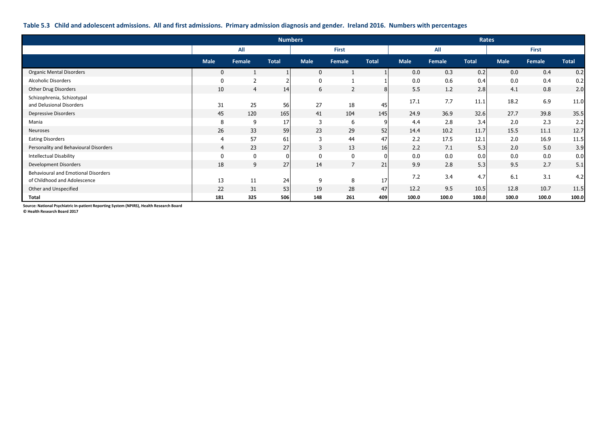#### **Table 5.3 Child and adolescent admissions. All and first admissions. Primary admission diagnosis and gender. Ireland 2016. Numbers with percentages**

|                                                                            | <b>Numbers</b> |                |              |              |                | Rates          |             |        |              |              |        |              |
|----------------------------------------------------------------------------|----------------|----------------|--------------|--------------|----------------|----------------|-------------|--------|--------------|--------------|--------|--------------|
|                                                                            |                | All            |              |              | <b>First</b>   |                |             | All    |              | <b>First</b> |        |              |
|                                                                            | <b>Male</b>    | Female         | <b>Total</b> | <b>Male</b>  | Female         | <b>Total</b>   | <b>Male</b> | Female | <b>Total</b> | <b>Male</b>  | Female | <b>Total</b> |
| <b>Organic Mental Disorders</b>                                            | $\mathbf 0$    |                |              | $\mathbf{0}$ |                |                | 0.0         | 0.3    | 0.2          | 0.0          | 0.4    | 0.2          |
| <b>Alcoholic Disorders</b>                                                 | $\mathbf{0}$   | $\overline{2}$ |              | 0            |                |                | 0.0         | 0.6    | 0.4          | 0.0          | 0.4    | 0.2          |
| Other Drug Disorders                                                       | 10             | 4              | 14           | 6            | 2              | 8 <sup>1</sup> | 5.5         | 1.2    | 2.8          | 4.1          | 0.8    | 2.0          |
| Schizophrenia, Schizotypal<br>and Delusional Disorders                     | 31             | 25             | 56           | 27           | 18             | 45             | 17.1        | 7.7    | 11.1         | 18.2         | 6.9    | 11.0         |
| <b>Depressive Disorders</b>                                                | 45             | 120            | 165          | 41           | 104            | 145            | 24.9        | 36.9   | 32.6         | 27.7         | 39.8   | 35.5         |
| Mania                                                                      | 8              | 9              | 17           | 3            | 6              | 9              | 4.4         | 2.8    | 3.4          | 2.0          | 2.3    | 2.2          |
| Neuroses                                                                   | 26             | 33             | 59           | 23           | 29             | 52             | 14.4        | 10.2   | 11.7         | 15.5         | 11.1   | 12.7         |
| <b>Eating Disorders</b>                                                    | $\overline{4}$ | 57             | 61           | 3            | 44             | 47             | 2.2         | 17.5   | 12.1         | 2.0          | 16.9   | 11.5         |
| Personality and Behavioural Disorders                                      | $\overline{4}$ | 23             | 27           | 3            | 13             | 16             | 2.2         | 7.1    | 5.3          | 2.0          | 5.0    | 3.9          |
| <b>Intellectual Disability</b>                                             | $\mathbf 0$    | 0              |              | $\mathbf 0$  | 0              | $\overline{0}$ | 0.0         | 0.0    | 0.0          | 0.0          | 0.0    | 0.0          |
| Development Disorders                                                      | 18             | 9              | 27           | 14           | $\overline{7}$ | 21             | 9.9         | 2.8    | 5.3          | 9.5          | 2.7    | 5.1          |
| <b>Behavioural and Emotional Disorders</b><br>of Childhood and Adolescence | 13             | 11             | 24           | 9            | 8              | 17             | 7.2         | 3.4    | 4.7          | 6.1          | 3.1    | 4.2          |
| Other and Unspecified                                                      | 22             | 31             | 53           | 19           | 28             | 47             | 12.2        | 9.5    | 10.5         | 12.8         | 10.7   | 11.5         |
| Total                                                                      | 181            | 325            | 506          | 148          | 261            | 409            | 100.0       | 100.0  | 100.0        | 100.0        | 100.0  | 100.0        |

**Source: National Psychiatric In-patient Reporting System (NPIRS), Health Research Board**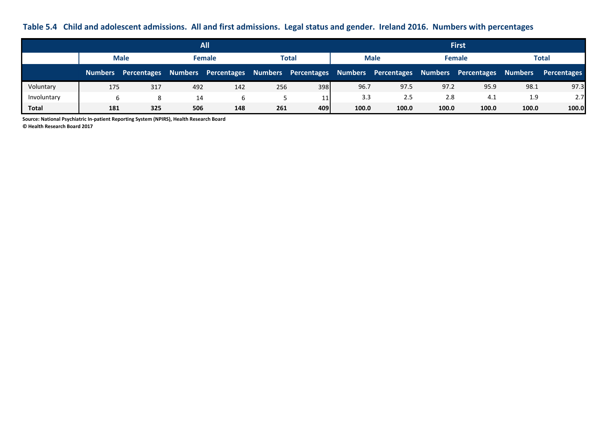**Table 5.4 Child and adolescent admissions. All and first admissions. Legal status and gender. Ireland 2016. Numbers with percentages**

|             | <b>All</b>  |                     |     |                                         |     |             |       | <b>First</b>        |       |                     |                |             |  |
|-------------|-------------|---------------------|-----|-----------------------------------------|-----|-------------|-------|---------------------|-------|---------------------|----------------|-------------|--|
|             | <b>Male</b> |                     |     | <b>Female</b><br>Total                  |     | <b>Male</b> |       | <b>Female</b>       |       | Total               |                |             |  |
|             |             | Numbers Percentages |     | Numbers Percentages Numbers Percentages |     |             |       | Numbers Percentages |       | Numbers Percentages | <b>Numbers</b> | Percentages |  |
| Voluntary   | 175         | 317                 | 492 | 142                                     | 256 | 398         | 96.7  | 97.5                | 97.2  | 95.9                | 98.1           | 97.3        |  |
| Involuntary | 6           | 8                   | 14  |                                         |     | 11          | 3.3   | 2.5                 | 2.8   | 4.1                 | 1.9            | 2.7         |  |
| Total       | 181         | 325                 | 506 | 148                                     | 261 | 409         | 100.0 | 100.0               | 100.0 | 100.0               | 100.0          | 100.0       |  |

**Source: National Psychiatric In-patient Reporting System (NPIRS), Health Research Board**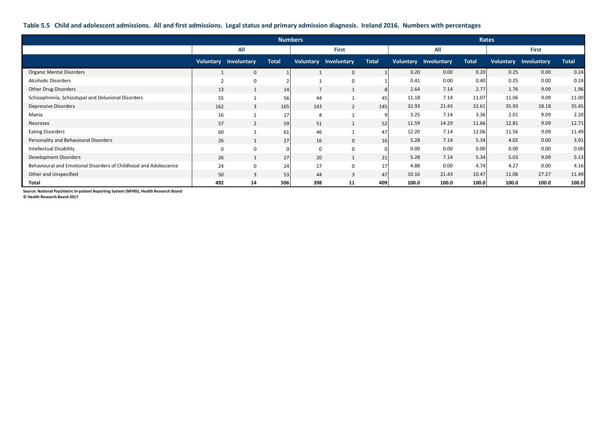#### **Table 5.5 Child and adolescent admissions. All and first admissions. Legal status and primary admission diagnosis. Ireland 2016. Numbers with percentages**

|                                                                  |                | <b>Numbers</b>               |              |                |                              |              |       |                              | <b>Rates</b> |              |                       |              |
|------------------------------------------------------------------|----------------|------------------------------|--------------|----------------|------------------------------|--------------|-------|------------------------------|--------------|--------------|-----------------------|--------------|
|                                                                  |                | All                          |              |                | <b>First</b>                 |              |       | All                          |              | <b>First</b> |                       |              |
|                                                                  |                | <b>Voluntary Involuntary</b> | <b>Total</b> |                | <b>Voluntary Involuntary</b> | <b>Total</b> |       | <b>Voluntary Involuntary</b> | <b>Total</b> |              | Voluntary Involuntary | <b>Total</b> |
| <b>Organic Mental Disorders</b>                                  |                | $\mathbf{0}$                 |              |                | $\mathbf{0}$                 |              | 0.20  | 0.00                         | 0.20         | 0.25         | 0.00                  | 0.24         |
| <b>Alcoholic Disorders</b>                                       | $\overline{2}$ | $\mathbf{0}$                 |              |                | $\mathbf 0$                  |              | 0.41  | 0.00                         | 0.40         | 0.25         | 0.00                  | 0.24         |
| Other Drug Disorders                                             | 13             | $\mathbf{1}$                 | 14           | $\overline{7}$ | $\mathbf{1}$                 | 8            | 2.64  | 7.14                         | 2.77         | 1.76         | 9.09                  | 1.96         |
| Schizophrenia, Schizotypal and Delusional Disorders              | 55             |                              | 56           | 44             |                              | 45           | 11.18 | 7.14                         | 11.07        | 11.06        | 9.09                  | 11.00        |
| <b>Depressive Disorders</b>                                      | 162            | 3                            | 165          | 143            | 2                            | 145          | 32.93 | 21.43                        | 32.61        | 35.93        | 18.18                 | 35.45        |
| Mania                                                            | 16             |                              | 17           | 8              |                              | 9            | 3.25  | 7.14                         | 3.36         | 2.01         | 9.09                  | 2.20         |
| Neuroses                                                         | 57             | $\overline{2}$               | 59           | 51             | $\mathbf{1}$                 | 52           | 11.59 | 14.29                        | 11.66        | 12.81        | 9.09                  | 12.71        |
| <b>Eating Disorders</b>                                          | 60             |                              | 61           | 46             |                              | 47           | 12.20 | 7.14                         | 12.06        | 11.56        | 9.09                  | 11.49        |
| Personality and Behavioural Disorders                            | 26             | $\mathbf{1}$                 | 27           | 16             | $\mathbf 0$                  | 16           | 5.28  | 7.14                         | 5.34         | 4.02         | 0.00                  | 3.91         |
| <b>Intellectual Disability</b>                                   | $\mathbf 0$    | $\mathbf 0$                  |              | $\mathbf 0$    | $\mathbf 0$                  | $\Omega$     | 0.00  | 0.00                         | 0.00         | 0.00         | 0.00                  | 0.00         |
| Development Disorders                                            | 26             | 1                            | 27           | 20             | $\mathbf{1}$                 | 21           | 5.28  | 7.14                         | 5.34         | 5.03         | 9.09                  | 5.13         |
| Behavioural and Emotional Disorders of Childhood and Adolescence | 24             | $\mathbf 0$                  | 24           | 17             | $\mathbf 0$                  | 17           | 4.88  | 0.00                         | 4.74         | 4.27         | 0.00                  | 4.16         |
| Other and Unspecified                                            | 50             | 3                            | 53           | 44             | 3                            | 47           | 10.16 | 21.43                        | 10.47        | 11.06        | 27.27                 | 11.49        |
| Total                                                            | 492            | 14                           | 506          | 398            | 11                           | 409          | 100.0 | 100.0                        | 100.0        | 100.0        | 100.0                 | 100.0        |

**Source: National Psychiatric In-patient Reporting System (NPIRS), Health Research Board**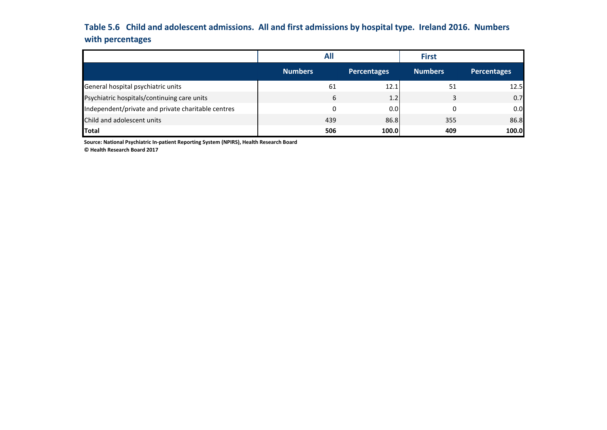# **Table 5.6 Child and adolescent admissions. All and first admissions by hospital type. Ireland 2016. Numbers with percentages**

|                                                    | All            |                    | <b>First</b>   |                    |
|----------------------------------------------------|----------------|--------------------|----------------|--------------------|
|                                                    | <b>Numbers</b> | <b>Percentages</b> | <b>Numbers</b> | <b>Percentages</b> |
| General hospital psychiatric units                 | 61             | 12.1               | 51             | 12.5               |
| Psychiatric hospitals/continuing care units        | 6              | 1.2                | ર              | 0.7                |
| Independent/private and private charitable centres | 0              | 0.0                |                | 0.0                |
| Child and adolescent units                         | 439            | 86.8               | 355            | 86.8               |
| <b>Total</b>                                       | 506            | 100.0              | 409            | 100.0              |

**Source: National Psychiatric In-patient Reporting System (NPIRS), Health Research Board**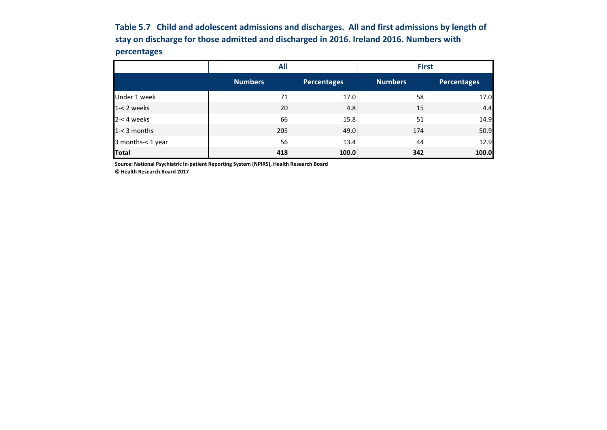**Table 5.7 Child and adolescent admissions and discharges. All and first admissions by length of stay on discharge for those admitted and discharged in 2016. Ireland 2016. Numbers with percentages**

|                   | <b>All</b>     |                    | <b>First</b>   |                    |  |  |
|-------------------|----------------|--------------------|----------------|--------------------|--|--|
|                   | <b>Numbers</b> | <b>Percentages</b> | <b>Numbers</b> | <b>Percentages</b> |  |  |
| Under 1 week      | 71             | 17.0               | 58             | 17.0               |  |  |
| $1 - 2$ weeks     | 20             | 4.8                | 15             | 4.4                |  |  |
| $2 - 4$ weeks     | 66             | 15.8               | 51             | 14.9               |  |  |
| $1 - 3$ months    | 205            | 49.0               | 174            | 50.9               |  |  |
| 3 months-< 1 year | 56             | 13.4               | 44             | 12.9               |  |  |
| <b>Total</b>      | 418            | 100.0              | 342            | 100.0              |  |  |

**Source: National Psychiatric In-patient Reporting System (NPIRS), Health Research Board**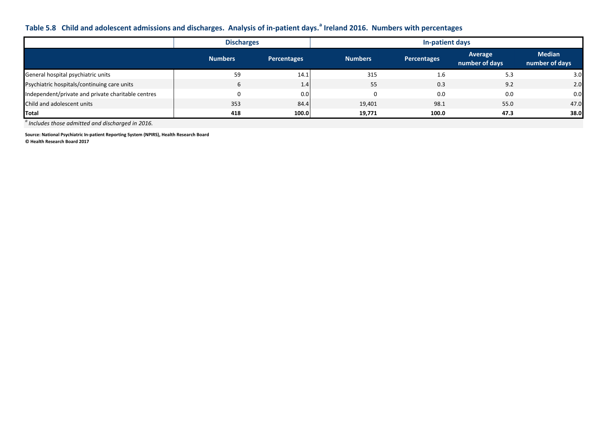## **Table 5.8 Child and adolescent admissions and discharges. Analysis of in-patient days.<sup>a</sup> Ireland 2016. Numbers with percentages**

|                                                    | <b>Discharges</b> |             | In-patient days |                    |                           |                                 |  |  |  |
|----------------------------------------------------|-------------------|-------------|-----------------|--------------------|---------------------------|---------------------------------|--|--|--|
|                                                    | <b>Numbers</b>    | Percentages | <b>Numbers</b>  | <b>Percentages</b> | Average<br>number of days | <b>Median</b><br>number of days |  |  |  |
| General hospital psychiatric units                 | 59                | 14.1        | 315             | 1.6                | 5.3                       | 3.0                             |  |  |  |
| Psychiatric hospitals/continuing care units        | 6                 | 1.4         | 55              | 0.3                | 9.2                       | 2.0                             |  |  |  |
| Independent/private and private charitable centres |                   | 0.0         |                 | 0.0                | 0.0                       | 0.0                             |  |  |  |
| Child and adolescent units                         | 353               | 84.4        | 19,401          | 98.1               | 55.0                      | 47.0                            |  |  |  |
| Total                                              | 418               | 100.0       | 19.771          | 100.0              | 47.3                      | 38.0                            |  |  |  |

*a Includes those admitted and discharged in 2016.*

**Source: National Psychiatric In-patient Reporting System (NPIRS), Health Research Board © Health Research Board 2017**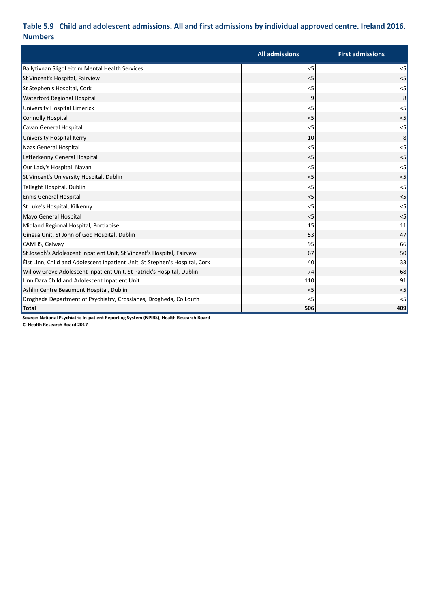## **Table 5.9 Child and adolescent admissions. All and first admissions by individual approved centre. Ireland 2016. Numbers**

|                                                                             | <b>All admissions</b> | <b>First admissions</b> |
|-----------------------------------------------------------------------------|-----------------------|-------------------------|
| Ballytivnan SligoLeitrim Mental Health Services                             | < 5                   | $<$ 5                   |
| St Vincent's Hospital, Fairview                                             | < 5                   | < 5                     |
| St Stephen's Hospital, Cork                                                 | < 5                   | < 5                     |
| <b>Waterford Regional Hospital</b>                                          | 9                     | 8 <sup>2</sup>          |
| University Hospital Limerick                                                | < 5                   | < 5                     |
| <b>Connolly Hospital</b>                                                    | < 5                   | < 5                     |
| Cavan General Hospital                                                      | < 5                   | < 5                     |
| University Hospital Kerry                                                   | 10                    | 8 <sup>1</sup>          |
| Naas General Hospital                                                       | < 5                   | < 5                     |
| Letterkenny General Hospital                                                | < 5                   | < 5                     |
| Our Lady's Hospital, Navan                                                  | < 5                   | < 5                     |
| St Vincent's University Hospital, Dublin                                    | < 5                   | < 5                     |
| Tallaght Hospital, Dublin                                                   | < 5                   | $<$ 5                   |
| <b>Ennis General Hospital</b>                                               | < 5                   | < 5                     |
| St Luke's Hospital, Kilkenny                                                | $<$ 5                 | $<$ 5                   |
| Mayo General Hospital                                                       | < 5                   | < 5                     |
| Midland Regional Hospital, Portlaoise                                       | 15                    | 11                      |
| Ginesa Unit, St John of God Hospital, Dublin                                | 53                    | 47                      |
| CAMHS, Galway                                                               | 95                    | 66                      |
| St Joseph's Adolescent Inpatient Unit, St Vincent's Hospital, Fairvew       | 67                    | 50                      |
| Eist Linn, Child and Adolescent Inpatient Unit, St Stephen's Hospital, Cork | 40                    | 33                      |
| Willow Grove Adolescent Inpatient Unit, St Patrick's Hospital, Dublin       | 74                    | 68                      |
| Linn Dara Child and Adolescent Inpatient Unit                               | 110                   | 91                      |
| Ashlin Centre Beaumont Hospital, Dublin                                     | < 5                   | < 5                     |
| Drogheda Department of Psychiatry, Crosslanes, Drogheda, Co Louth           | < 5                   | < 5                     |
| Total                                                                       | 506                   | 409                     |

**Source: National Psychiatric In-patient Reporting System (NPIRS), Health Research Board**